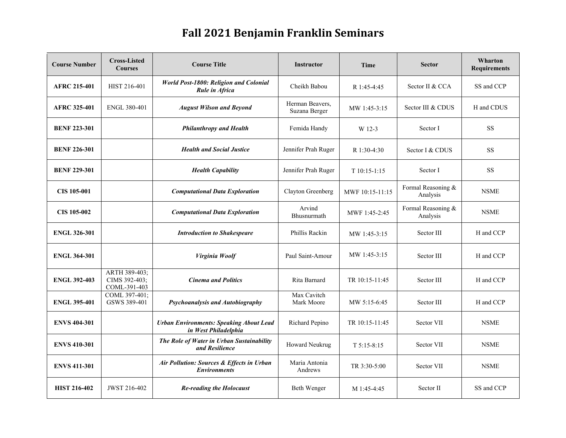## **Fall 2021 Benjamin Franklin Seminars**

| <b>Course Number</b> | <b>Cross-Listed</b><br><b>Courses</b>          | <b>Course Title</b>                                                    | <b>Instructor</b>                | Time            | <b>Sector</b>                  | Wharton<br><b>Requirements</b> |
|----------------------|------------------------------------------------|------------------------------------------------------------------------|----------------------------------|-----------------|--------------------------------|--------------------------------|
| <b>AFRC 215-401</b>  | HIST 216-401                                   | World Post-1800: Religion and Colonial<br>Rule in Africa               | Cheikh Babou                     | R 1:45-4:45     | Sector II & CCA                | SS and CCP                     |
| <b>AFRC 325-401</b>  | <b>ENGL 380-401</b>                            | <b>August Wilson and Beyond</b>                                        | Herman Beavers,<br>Suzana Berger | MW 1:45-3:15    | Sector III & CDUS              | H and CDUS                     |
| <b>BENF 223-301</b>  |                                                | <b>Philanthropy and Health</b>                                         | Femida Handy                     | W 12-3          | Sector I                       | SS                             |
| <b>BENF 226-301</b>  |                                                | <b>Health and Social Justice</b>                                       | Jennifer Prah Ruger              | R 1:30-4:30     | Sector I & CDUS                | <b>SS</b>                      |
| <b>BENF 229-301</b>  |                                                | <b>Health Capability</b>                                               | Jennifer Prah Ruger              | $T10:15-1:15$   | Sector I                       | <b>SS</b>                      |
| <b>CIS 105-001</b>   |                                                | <b>Computational Data Exploration</b>                                  | Clayton Greenberg                | MWF 10:15-11:15 | Formal Reasoning &<br>Analysis | <b>NSME</b>                    |
| <b>CIS 105-002</b>   |                                                | <b>Computational Data Exploration</b>                                  | Arvind<br>Bhusnurmath            | MWF 1:45-2:45   | Formal Reasoning &<br>Analysis | <b>NSME</b>                    |
| <b>ENGL 326-301</b>  |                                                | <b>Introduction to Shakespeare</b>                                     | Phillis Rackin                   | MW 1:45-3:15    | Sector III                     | H and CCP                      |
| <b>ENGL 364-301</b>  |                                                | Virginia Woolf                                                         | Paul Saint-Amour                 | MW 1:45-3:15    | Sector III                     | H and CCP                      |
| <b>ENGL 392-403</b>  | ARTH 389-403;<br>CIMS 392-403;<br>COML-391-403 | <b>Cinema and Politics</b>                                             | Rita Barnard                     | TR 10:15-11:45  | Sector III                     | H and CCP                      |
| <b>ENGL 395-401</b>  | COML 397-401;<br>GSWS 389-401                  | Psychoanalysis and Autobiography                                       | Max Cavitch<br>Mark Moore        | MW 5:15-6:45    | Sector III                     | H and CCP                      |
| <b>ENVS 404-301</b>  |                                                | <b>Urban Environments: Speaking About Lead</b><br>in West Philadelphia | Richard Pepino                   | TR 10:15-11:45  | Sector VII                     | <b>NSME</b>                    |
| <b>ENVS 410-301</b>  |                                                | The Role of Water in Urban Sustainability<br>and Resilience            | Howard Neukrug                   | $T$ 5:15-8:15   | Sector VII                     | <b>NSME</b>                    |
| <b>ENVS 411-301</b>  |                                                | Air Pollution: Sources & Effects in Urban<br><b>Environments</b>       | Maria Antonia<br>Andrews         | TR 3:30-5:00    | Sector VII                     | <b>NSME</b>                    |
| <b>HIST 216-402</b>  | JWST 216-402                                   | <b>Re-reading the Holocaust</b>                                        | Beth Wenger                      | M 1:45-4:45     | Sector II                      | SS and CCP                     |